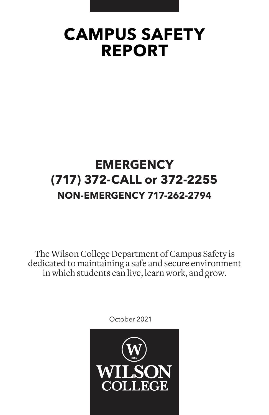# **CAMPUS SAFETY REPORT**

# **EMERGENCY (717) 372-CALL or 372-2255 NON-EMERGENCY 717-262-2794**

The Wilson College Department of Campus Safety is dedicated to maintaining a safe and secure environment in which students can live, learn work, and grow.

October 2021

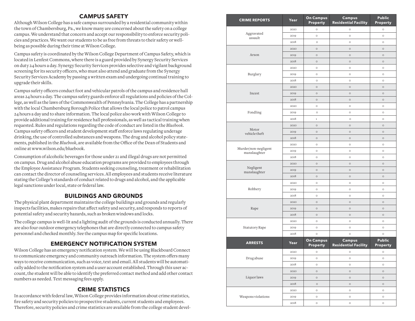### **CAMPUS SAFETY**

Although Wilson College has a safe campus surrounded by a residential community within the town of Chambersburg, Pa., we know many are concerned about the safety on a college campus. We understand that concern and accept our responsibility to enforce security poli cies and practices. We want our students to be as free from threats to their safety or wellbeing as possible during their time at Wilson College.

Campus safety is coordinated by the Wilson College Department of Campus Safety, which is located in Lenfest Commons, where there is a guard provided by Synergy Security Services on duty 24 hours a day. Synergy Security Services provides selective and vigilant background screening for its security officers, who must also attend and graduate from the Synergy Security Services Academy by passing a written exam and undergoing continual training to upgrade their skills.

Campus safety officers conduct foot and vehicular patrols of the campus and residence hall areas 24 hours a day. The campus safety guards enforce all regulations and policies of the Col lege, as well as the laws of the Commonwealth of Pennsylvania. The College has a partnership with the local Chambersburg Borough Police that allows the local police to patrol campus 24 hours a day and to share information. The local police also work with Wilson College to provide additional training for residence hall professionals, as well as tactical training when requested. Rules and regulations regarding the code of conduct are listed in the *Bluebook*. Campus safety officers and student development staff enforce laws regulating underage drinking, the use of controlled substances and weapons. The drug and alcohol policy state ments, published in the *Bluebook*, are available from the Office of the Dean of Students and online at www.wilson.edu/bluebook.

Consumption of alcoholic beverages for those under 21 and illegal drugs are not permitted on campus. Drug and alcohol abuse education programs are provided to employees through the Employee Assistance Program. Students seeking counseling, treatment or rehabilitation can contact the director of counseling services. All employees and students receive literature stating the College's standards of conduct related to drugs and alcohol, and the applicable legal sanctions under local, state or federal law.

# **BUILDINGS AND GROUNDS**

The physical plant department maintains the college buildings and grounds and regularly inspects facilities, makes repairs that affect safety and security, and responds to reports of potential safety and security hazards, such as broken windows and locks.

The college campus is well-lit and a lighting audit of the grounds is conducted annually. There are also four outdoor emergency telephones that are directly connected to campus safety personnel and checked monthly. See the campus map for specific locations.

# **EMERGENCY NOTIFICATION SYSTEM**

Wilson College has an emergency notification system. We will be using Blackboard Connect to communicate emergency and community outreach information. The system offers many ways to receive communication, such as voice, text and email. All students will be automati cally added to the notification system and a user account established. Through this user ac count, the student will be able to identify the preferred contact method and add other contact numbers as needed. Text messaging fees apply.

# **CRIME STATISTICS**

In accordance with federal law, Wilson College provides information about crime statistics, fire safety and security policies to prospective students, current students and employees. Therefore, security policies and crime statistics are available from the college student devel -

| <b>CRIME REPORTS</b>                 | Year | <b>On Campus</b><br><b>Property</b> | <b>Campus</b><br><b>Residential Facility</b> | <b>Public</b><br><b>Property</b> |
|--------------------------------------|------|-------------------------------------|----------------------------------------------|----------------------------------|
|                                      | 2020 | O                                   | $\circ$                                      | $\circ$                          |
| Aggravated<br>assault                | 2019 | Ō                                   | $\circ$                                      | $\circ$                          |
|                                      | 2018 | $\circ$                             | $\circ$                                      | $\circ$                          |
|                                      | 2020 | $\circ$                             | $\circ$                                      | $\circ$                          |
| Arson                                | 2019 | $\circ$                             | $\circ$                                      | $\circ$                          |
|                                      | 2018 | $\circ$                             | $\circ$                                      | $\circ$                          |
|                                      | 2020 | O                                   | $\circ$                                      | $\circ$                          |
| Burglary                             | 2019 | O                                   | $\circ$                                      | $\circ$                          |
|                                      | 2018 | $\circ$                             | $\circ$                                      | $\circ$                          |
|                                      | 2020 | $\circ$                             | $\circ$                                      | $\circ$                          |
| Incest                               | 2019 | $\circ$                             | $\circ$                                      | $\circ$                          |
|                                      | 2018 | $\circ$                             | $\circ$                                      | $\circ$                          |
|                                      | 2020 | $\circ$                             | $\circ$                                      | $\circ$                          |
| Fondling                             | 2019 | $\circ$                             | $\circ$                                      | $\circ$                          |
|                                      | 2018 | $\,1$                               | $\circ$                                      | $\circ$                          |
|                                      | 2020 | $\circ$                             | $\circ$                                      | $\circ$                          |
| Motor<br>vehicle theft               | 2019 | $\circ$                             | $\circ$                                      | $\circ$                          |
|                                      | 2018 | $\circ$                             | $\circ$                                      | $\circ$                          |
|                                      | 2020 | $\circ$                             | $\circ$                                      | $\circ$                          |
| Murder/non-negligent<br>manslaughter | 2019 | $\circ$                             | $\circ$                                      | $\circ$                          |
|                                      | 2018 | O                                   | $\circ$                                      | $\circ$                          |
|                                      | 2020 | $\circ$                             | $\circ$                                      | $\circ$                          |
| Negligent<br>manslaughter            | 2019 | $\circ$                             | $\circ$                                      | $\circ$                          |
|                                      | 2018 | $\circ$                             | $\circ$                                      | $\circ$                          |
|                                      | 2020 | $\circ$                             | $\circ$                                      | $\circ$                          |
| Robbery                              | 2019 | $\circ$                             | $\circ$                                      | $\circ$                          |
|                                      | 2018 | O                                   | $\circ$                                      | $\circ$                          |
|                                      | 2020 | $\circ$                             | $\circ$                                      | $\circ$                          |
| Rape                                 | 2019 | $\circ$                             | $\circ$                                      | $\circ$                          |
|                                      | 2018 | $\circ$                             | $\circ$                                      | $\circ$                          |
|                                      | 2020 | O                                   | $\circ$                                      | $\circ$                          |
| Statutory Rape                       | 2019 | $\circ$                             | $\circ$                                      | $\circ$                          |
|                                      | 2018 | $\circ$                             | $\circ$                                      | $\circ$                          |
| <b>ARRESTS</b>                       | Year | <b>On Campus</b><br><b>Property</b> | <b>Campus</b><br><b>Residential Facility</b> | <b>Public</b><br>Property        |
|                                      | 2020 | $\circ$                             | $\circ$                                      | $\circ$                          |
| Drugabuse                            | 2019 | $\circ$                             | $\circ$                                      | $\circ$                          |
|                                      | 2018 | $\circ$                             | $\circ$                                      | $\circ$                          |
|                                      | 2020 | $\circ$                             | $\circ$                                      | $\circ$                          |
| Liquor laws                          | 2019 | $\circ$                             | $\circ$                                      | $\circ$                          |
|                                      | 2018 | $\circ$                             | $\circ$                                      | $\circ$                          |
|                                      | 2020 | $\circ$                             | $\circ$                                      | $\circ$                          |
| Weapons violations                   | 2019 | $\circ$                             | $\circ$                                      | $\circ$                          |
|                                      | 2018 | $\circ$                             | $\circ$                                      | $\circ$                          |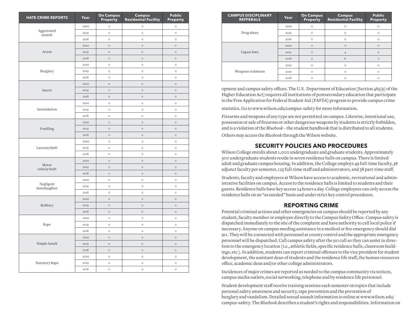| <b>HATE CRIME REPORTS</b> | Year         | <b>On Campus</b><br>Property | <b>Campus</b><br><b>Residential Facility</b> | Public<br>Property |
|---------------------------|--------------|------------------------------|----------------------------------------------|--------------------|
|                           | 2020         | $\circ$                      | $\circ$                                      | $\circ$            |
| Aggravated<br>assault     | 2019         | $\circ$                      | $\circ$                                      | $\circ$            |
|                           | 2018         | $\circ$                      | $\circ$                                      | $\circ$            |
|                           | 2020         | $\circ$                      | $\circ$                                      | $\circ$            |
| Arson                     | 2019         | $\circ$                      | $\circ$                                      | $\circ$            |
|                           | 2018         | $\circ$                      | $\circ$                                      | $\circ$            |
|                           | 2020         | $\circ$                      | $\circ$                                      | $\circ$            |
| Burglary                  | 2019         | $\circ$                      | $\circ$                                      | $\circ$            |
|                           | 2018         | $\circ$                      | $\circ$                                      | $\circ$            |
|                           | 2020         | $\circ$                      | $\circ$                                      | $\circ$            |
| Incest                    | 2019         | $\circ$                      | $\circ$                                      | $\circ$            |
|                           | 2018         | $\circ$                      | $\circ$                                      | $\circ$            |
|                           | 2020         | $\circ$                      | $\circ$                                      | $\circ$            |
| Intimidation              | 2019         | $\circ$                      | $\circ$                                      | $\circ$            |
|                           | 2018         | $\circ$                      | $\circ$                                      | $\circ$            |
|                           | 2020         | $\circ$                      | $\circ$                                      | $\circ$            |
| Fondling                  | 2019         | $\circ$                      | $\circ$                                      | $\circ$            |
|                           | 2018         | $\circ$                      | $\circ$                                      | $\circ$            |
| Larceny/theft             | 2020         | $\circ$                      | $\circ$                                      | $\circ$            |
|                           | 2019         | $\circ$                      | $\circ$                                      | $\circ$            |
|                           | 2018         | $\circ$                      | $\circ$                                      | $\circ$            |
|                           | 2020         | $\circ$                      | $\circ$                                      | $\circ$            |
| Motor                     | 2019         | $\circ$                      | $\circ$                                      | $\circ$            |
| vehicle theft             | 2018         | $\circ$                      | $\circ$                                      | $\circ$            |
|                           | 2020         | $\circ$                      | $\circ$                                      | $\circ$            |
| Negligent                 | 2019         | $\circ$                      | $\circ$                                      | $\circ$            |
| manslaughter              | 2018         | $\circ$                      | $\circ$                                      | $\circ$            |
|                           | 2020         | $\circ$                      | $\circ$                                      | $\circ$            |
| Robbery                   | 2019         | $\circ$                      | $\circ$                                      | $\circ$            |
|                           | 2018         | $\circ$                      | $\circ$                                      | $\circ$            |
|                           | 2020         | $\circ$                      | $\circ$                                      | $\circ$            |
| Rape                      | 2019         | $\circ$                      | $\circ$                                      | $\circ$            |
|                           | 2018         | $\circ$                      | $\circ$                                      | $\circ$            |
|                           | 2020         | $\circ$                      | $\circ$                                      | $\circ$            |
| Simple Assult             | 2019         | $\circ$                      | $\circ$                                      | $\circ$            |
|                           | 2018         | $\circ$                      | $\circ$                                      | $\circ$            |
|                           | 2020         | $\circ$                      | $\circ$                                      | $\circ$            |
|                           |              |                              |                                              |                    |
| Statutory Rape            | 2019<br>2018 | $\circ$<br>$\circ$           | $\circ$                                      | $\circ$            |
|                           |              |                              | $\circ$                                      | $\circ$            |

| <b>CAMPUS DISCIPLINARY</b><br><b>REFFERALS</b> | Year | <b>On Campus</b><br>Property | <b>Campus</b><br><b>Residential Facility</b> | <b>Public</b><br><b>Property</b> |
|------------------------------------------------|------|------------------------------|----------------------------------------------|----------------------------------|
|                                                | 2020 | $\circ$                      | $\circ$                                      | $\circ$                          |
| Drugabuse                                      | 2019 | $\circ$                      | $\circ$                                      | $\circ$                          |
|                                                | 2018 | $\circ$                      | $\circ$                                      | $\circ$                          |
|                                                | 2020 | $\circ$                      | $\circ$                                      | $\circ$                          |
| Liquor laws                                    | 2019 | $\circ$                      | $\overline{4}$                               | $\circ$                          |
|                                                | 2018 | $\circ$                      | 6                                            | $\circ$                          |
|                                                | 2020 | $\circ$                      | $\circ$                                      | $\circ$                          |
| Weapons violations                             | 2019 | $\circ$                      | $\circ$                                      | $\circ$                          |
|                                                | 2018 | $\circ$                      | $\circ$                                      | $\circ$                          |

opment and campus safety offices. The U.S. Department of Education [Section 485(a) of the Higher Education Act] requires all institutions of postsecondary education that participate in the Free Application for Federal Student Aid (FAFSA) program to provide campus crime

statistics. Go to www.wilson.edu/campus-safety for more information.

Others may access the *Bluebook* through the Wilson website. Firearms and weapons of any type are not permitted on campus. Likewise, intentional use, possession or sale of firearms or other dangerous weapons by students is strictly forbidden, and is a violation of the *Bluebook* – the student handbook that is distributed to all students.

#### **SECURITY POLICIES AND PROCEDURES**

Wilson College enrolls about 1,000 undergraduate and graduate students. Approximately 300 undergraduate students reside in seven residence halls on campus. There is limited adult and graduate campus housing. In addition, the College employs 49 full-time faculty, 38 adjunct faculty per semester, 125 full-time staff and administrators, and 38 part-time staff.

Students, faculty and employees at Wilson have access to academic, recreational and administrative facilities on campus. Access to the residence halls is limited to students and their guests. Residence halls have key access 24 hours a day. College employees can only access the residence halls on an "as needed" basis and under strict key control procedures.

#### **REPORTING CRIME**

Potential criminal actions and other emergencies on campus should be reported by any student, faculty member or employee directly to the Campus Safety Office. Campus safety is dispatched immediately to the site of the complaint and have authority to call local police if necessary. Anyone on campus needing assistance in a medical or fire emergency should dial 911. They will be connected with personnel at county control and the appropriate emergency personnel will be dispatched. Call campus safety after the 911 call so they can assist in direction to the emergency location (i.e., athletic fields, specific residence halls, classroom buildings, etc.). In addition, students can report criminal offenses to the vice president for student development, the assistant dean of students and the residence life staff, the human resources office, academic dean and/or other college administrators.

Incidences of major crimes are reported as needed to the campus community via notices, campus media outlets, social networking, telephone and by residence life personnel.

Student development staff receive training sessions each semester on topics that include personal safety awareness and security, rape prevention and the prevention of burglary and vandalism. Detailed sexual assault information is online at www.wilson.edu/ campus-safety. The *Bluebook* describes a student's rights and responsibilities. Information on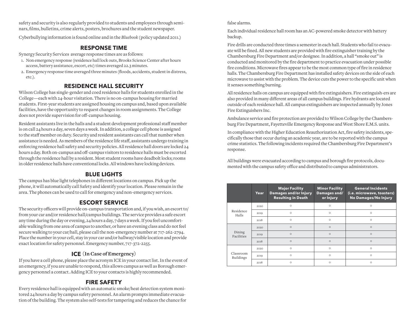safety and security is also regularly provided to students and employees through seminars, films, bulletins, crime alerts, posters, brochures and the student newspaper.

Cyberbullying information is found online and in the *Bluebook* (policy updated 2011.)

# **RESPONSE TIME**

Synergy Security Services average response times are as follows:

- 1. Non emergency response (residence hall lock outs, Brooks Science Center after hours access, battery assistance, escort, etc) times averaged 22.3 minutes.
- 2. Emergency response time averaged three minutes (floods, accidents, student in distress, etc.).

# **RESIDENCE HALL SECURITY**

Wilson College has single-gender and coed residence halls for students enrolled in the College—each with 24-hour visitation. There is no on-campus housing for married students. First-year students are assigned housing on campus and, based upon available facilities, have the opportunity to request changes in room assignments. The College does not provide supervision for off-campus housing.

Resident assistants live in the halls and a student development professional staff member is on call 24 hours a day, seven days a week. In addition, a college cell phone is assigned to the staff member on duty. Security and resident assistants can call that number when assistance is needed. As members of the residence life staff, assistants undergo training in enforcing residence hall safety and security policies. All residence hall doors are locked 24 hours a day. Both on-campus and off-campus visitors to residence halls must be escorted through the residence hall by a resident. Most student rooms have deadbolt locks; rooms in older residence halls have conventional locks. All windows have locking devices.

# **BLUE LIGHTS**

The campus has blue light telephones in different locations on campus. Pick up the phone, it will automatically call Safety and identify your location. Please remain in the area. The phones can be used to call for emergency and non-emergency services.

# **ESCORT SERVICE**

The security officers will provide on-campus transportation and, if you wish, an escort to/ from your car and/or residence hall/campus buildings. The service provides a safe escort any time during the day or evening, 24 hours a day, 7 days a week. If you feel uncomfortable walking from one area of campus to another, or have an evening class and do not feel secure walking to your car/hall, please call the non-emergency number at 717-262-2794. Place the number in your cell, stay in your car and/or hallway/visible location and provide exact location for safety personnel. Emergency number, 717-372-2255.

# **ICE (In Case of Emergency)**

If you have a cell phone, please place the acronym ICE in your contact list. In the event of an emergency, if you are unable to respond, this allows campus as well as Borough emergency personnel a contact. Adding ICE to your contacts is highly recommended.

# **FIRE SAFETY**

Every residence hall is equipped with an automatic smoke/heat detection system monitored 24 hours a day by campus safety personnel. An alarm prompts immediate evacuation of the building. The system also self-tests for tampering and reduces the chance for

#### false alarms.

Each individual residence hall room has an AC-powered smoke detector with battery backup.

Fire drills are conducted three times a semester in each hall. Students who fail to evacuate will be fined. All new students are provided with fire extinguisher training by the Chambersburg Fire Department and/or designee. In addition, a hall "smoke out" is conducted and monitored by the fire department to practice evacuation under possible fire conditions. Microwave fires appear to be the most common type of fire in residence halls. The Chambersburg Fire Department has installed safety devices on the side of each microwave to assist with the problem. The device cuts the power to the specific unit when it senses something burning.

All residence halls on campus are equipped with fire extinguishers. Fire extinguish-ers are also provided in many different areas of all campus buildings. Fire hydrants are located outside of each residence hall. All campus extinguishers are inspected annually by Jones Fire Extinguishers Inc.

Ambulance service and fire protection are provided to Wilson College by the Chambersburg Fire Department, Fayetteville Emergency Response and West Shore E.M.S. units.

In compliance with the Higher Education Reauthorization Act, fire safety incidents, specifically those that occur during an academic year, are to be reported with the campus crime statistics. The following incidents required the Chambersburg Fire Department's response.

All buildings were evacuated according to campus and borough fire protocols, documented with the campus safety office and distributed to campus administrators.

|                               | Year. | <b>Major Facility</b><br><b>Damages and/or Injury</b><br><b>Resulting in Death</b> | <b>Minor Facility</b><br>Damages and/<br>or Injury | <b>General Incidents</b><br>(i.e. microwave, toasters)<br>No Damages/No Injury |
|-------------------------------|-------|------------------------------------------------------------------------------------|----------------------------------------------------|--------------------------------------------------------------------------------|
|                               | 2020  | $\circ$                                                                            | $\circ$                                            | $\Omega$                                                                       |
| Residence<br>Halls            | 2019  | $\circ$                                                                            | $\circ$                                            | $\circ$                                                                        |
|                               | 2018  | $\circ$                                                                            | $\circ$                                            | $\circ$                                                                        |
|                               | 2.020 | $\circ$                                                                            | $\circ$                                            | $\circ$                                                                        |
| Dining<br>Facilities          | 2019  | $\circ$                                                                            | $\circ$                                            | $\circ$                                                                        |
|                               | 2018  | $\circ$                                                                            | $\circ$                                            | $\circ$                                                                        |
|                               | 2020  | $\circ$                                                                            | $\circ$                                            | $\circ$                                                                        |
| Classroom<br><b>Buildings</b> | 2019  | $\circ$                                                                            | $\circ$                                            | $\circ$                                                                        |
|                               | 2018  | $\circ$                                                                            | O                                                  | $\circ$                                                                        |